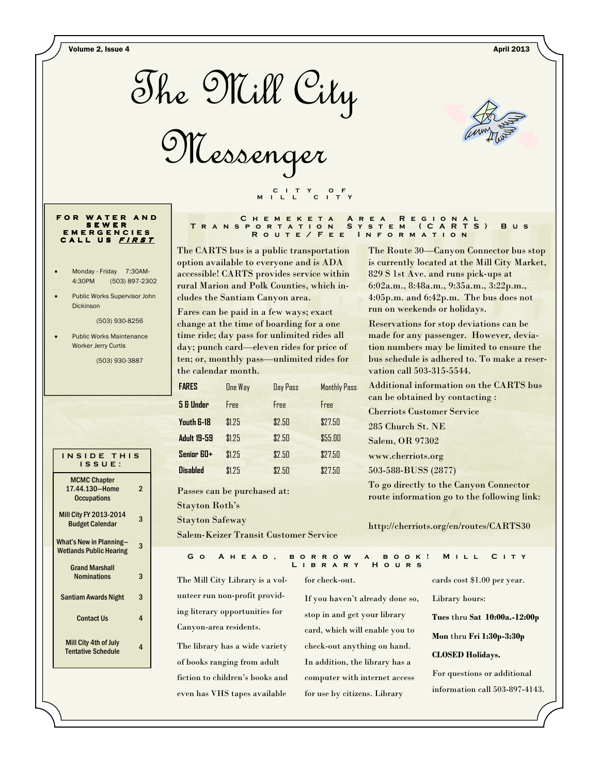Volume 2, Issue 4 April 2013

# The Mill City

Messenger



# **FOR WATER AND S E W E R E M E R G E N C I E S C A L L U S <sup>F</sup> <sup>I</sup> <sup>R</sup> <sup>S</sup> <sup>T</sup>**

- Monday Friday 7:30AM-4:30PM (503) 897-2302
- Public Works Supervisor John Dickinson

(503) 930-8256

• Public Works Maintenance Worker Jerry Curtis

(503) 930-3887

# **I N S I D E T H I S I S S U E :**  MCMC Chapter 17.44.130—Home **Occupations**  $\overline{2}$ Mill City FY 2013-2014 ii City Fr 2013-2014 3 What's New in Planning what's New III Planning—<br>Wetlands Public Hearing \_\_\_\_\_\_\_\_\_\_\_\_\_\_\_\_\_\_\_\_\_\_\_\_\_\_\_\_\_\_\_\_ Grand Marshall Nominations 3 Santiam Awards Night 3

Contact Us 4 Mill City 4th of July Tentative Schedule 4

### The CARTS bus is a public transportation **C h e m e k e t a A r e a R e g i o n a l T r a n s p o r t a t i o n S y s t e m ( C A R T S ) B u s R o u t e / F e e I n f o r m a t i o n**

 **C I T Y O F M I L L C I T Y** 

option available to everyone and is ADA accessible! CARTS provides service within rural Marion and Polk Counties, which includes the Santiam Canyon area.

Fares can be paid in a few ways; exact change at the time of boarding for a one time ride; day pass for unlimited rides all day; punch card—eleven rides for price of ten; or, monthly pass—unlimited rides for the calendar month.

| <b>FARES</b>       | <b>One Way</b> | Day Pass | <b>Monthly Pass</b> |
|--------------------|----------------|----------|---------------------|
| 5 & Under          | Free           | Free     | Free                |
| Youth 6-18         | \$1.25         | \$2.50   | \$27.50             |
| <b>Adult 19-59</b> | \$1.25         | \$2.50   | \$55.00             |
| Senior 60+         | \$1.25         | \$2.50   | \$27.50             |
| <b>Disabled</b>    | \$1.25         | \$2.50   | \$27.50             |

Passes can be purchased at:

Stayton Roth's

Stayton Safeway

Salem-Keizer Transit Customer Service

The Mill City Library is a volunteer run non-profit providing literary opportunities for Canyon-area residents.

The library has a wide variety of books ranging from adult fiction to children's books and even has VHS tapes available

for check-out. **L I B R A R Y** 

> If you haven't already done so, stop in and get your library card, which will enable you to check-out anything on hand. In addition, the library has a computer with internet access for use by citizens. Library

G O A H E A D , B O R R O W A B O O K ! M I L L C I T Y

The Route 30—Canyon Connector bus stop is currently located at the Mill City Market, 829 S 1st Ave. and runs pick-ups at 6:02a.m., 8:48a.m., 9:35a.m., 3:22p.m., 4:05p.m. and 6:42p.m. The bus does not run on weekends or holidays.

Reservations for stop deviations can be made for any passenger. However, deviation numbers may be limited to ensure the bus schedule is adhered to. To make a reservation call 503-315-5544.

Additional information on the CARTS bus can be obtained by contacting :

Cherriots Customer Service

285 Church St. NE

Salem, OR 97302

www.cherriots.org

503-588-BUSS (2877)

To go directly to the Canyon Connector route information go to the following link:

http://cherriots.org/en/routes/CARTS30

cards cost \$1.00 per year.

Library hours:

Tues thru Sat 10:00a.-12:00p

Mon thru Fri 1:30p-3:30p

CLOSED Holidays.

For questions or additional information call 503-897-4143.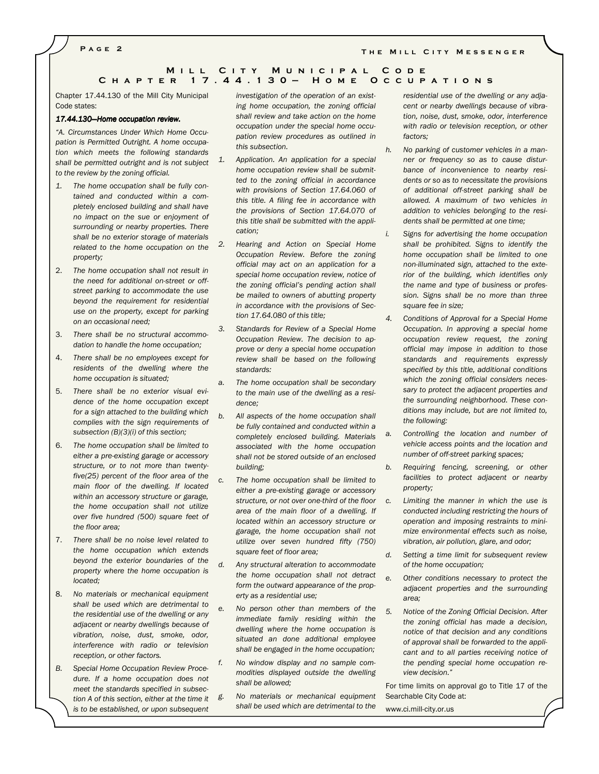## M I L L C I T Y M U N I C I P A L C O D E<br>R 17.44.130 - H O M E O C C U P A T I O N S C H A P T E R 1 7 . 4 4 . 1 3 0 - H O M E

Chapter 17.44.130 of the Mill City Municipal Code states:

#### 17.44.130-Home occupation review.

"A. Circumstances Under Which Home Occupation is Permitted Outright. A home occupation which meets the following standards shall be permitted outright and is not subject to the review by the zoning official.

- 1. The home occupation shall be fully contained and conducted within a completely enclosed building and shall have no impact on the sue or enjoyment of surrounding or nearby properties. There shall be no exterior storage of materials related to the home occupation on the property;
- 2. The home occupation shall not result in the need for additional on-street or offstreet parking to accommodate the use beyond the requirement for residential use on the property, except for parking on an occasional need;
- 3. There shall be no structural accommodation to handle the home occupation;
- 4. There shall be no employees except for residents of the dwelling where the home occupation is situated;
- 5. There shall be no exterior visual evidence of the home occupation except for a sign attached to the building which complies with the sign requirements of subsection (B)(3)(i) of this section;
- 6. The home occupation shall be limited to either a pre-existing garage or accessory structure, or to not more than twentyfive(25) percent of the floor area of the main floor of the dwelling. If located within an accessory structure or garage, the home occupation shall not utilize over five hundred (500) square feet of the floor area;
- 7. There shall be no noise level related to the home occupation which extends beyond the exterior boundaries of the property where the home occupation is located;
- 8. No materials or mechanical equipment shall be used which are detrimental to the residential use of the dwelling or any adjacent or nearby dwellings because of vibration, noise, dust, smoke, odor, interference with radio or television reception, or other factors.
- B. Special Home Occupation Review Procedure. If a home occupation does not meet the standards specified in subsection A of this section, either at the time it is to be established, or upon subsequent

investigation of the operation of an existing home occupation, the zoning official shall review and take action on the home occupation under the special home occupation review procedures as outlined in this subsection.

- 1. Application. An application for a special home occupation review shall be submitted to the zoning official in accordance with provisions of Section 17.64.060 of this title. A filing fee in accordance with the provisions of Section 17.64.070 of this title shall be submitted with the application;
- 2. Hearing and Action on Special Home Occupation Review. Before the zoning official may act on an application for a special home occupation review, notice of the zoning official's pending action shall be mailed to owners of abutting property in accordance with the provisions of Section 17.64.080 of this title;
- 3. Standards for Review of a Special Home Occupation Review. The decision to approve or deny a special home occupation review shall be based on the following standards:
- a. The home occupation shall be secondary to the main use of the dwelling as a residence;
- b. All aspects of the home occupation shall be fully contained and conducted within a completely enclosed building. Materials associated with the home occupation shall not be stored outside of an enclosed building;
- c. The home occupation shall be limited to either a pre-existing garage or accessory structure, or not over one-third of the floor area of the main floor of a dwelling. If located within an accessory structure or garage, the home occupation shall not utilize over seven hundred fifty (750) square feet of floor area;
- d. Any structural alteration to accommodate the home occupation shall not detract form the outward appearance of the property as a residential use;
- e. No person other than members of the immediate family residing within the dwelling where the home occupation is situated an done additional employee shall be engaged in the home occupation;
- f. No window display and no sample commodities displayed outside the dwelling shall be allowed;
- g. No materials or mechanical equipment shall be used which are detrimental to the

residential use of the dwelling or any adjacent or nearby dwellings because of vibration, noise, dust, smoke, odor, interference with radio or television reception, or other factors;

- h. No parking of customer vehicles in a manner or frequency so as to cause disturbance of inconvenience to nearby residents or so as to necessitate the provisions of additional off-street parking shall be allowed. A maximum of two vehicles in addition to vehicles belonging to the residents shall be permitted at one time;
- i. Signs for advertising the home occupation shall be prohibited. Signs to identify the home occupation shall be limited to one non-illuminated sign, attached to the exterior of the building, which identifies only the name and type of business or profession. Signs shall be no more than three square fee in size;
- 4. Conditions of Approval for a Special Home Occupation. In approving a special home occupation review request, the zoning official may impose in addition to those standards and requirements expressly specified by this title, additional conditions which the zoning official considers necessary to protect the adjacent properties and the surrounding neighborhood. These conditions may include, but are not limited to, the following:
- a. Controlling the location and number of vehicle access points and the location and number of off-street parking spaces;
- b. Requiring fencing, screening, or other facilities to protect adjacent or nearby property;
- c. Limiting the manner in which the use is conducted including restricting the hours of operation and imposing restraints to minimize environmental effects such as noise, vibration, air pollution, glare, and odor;
- d. Setting a time limit for subsequent review of the home occupation;
- e. Other conditions necessary to protect the adjacent properties and the surrounding area;
- 5. Notice of the Zoning Official Decision. After the zoning official has made a decision, notice of that decision and any conditions of approval shall be forwarded to the applicant and to all parties receiving notice of the pending special home occupation review decision."

For time limits on approval go to Title 17 of the Searchable City Code at:

www.ci.mill-city.or.us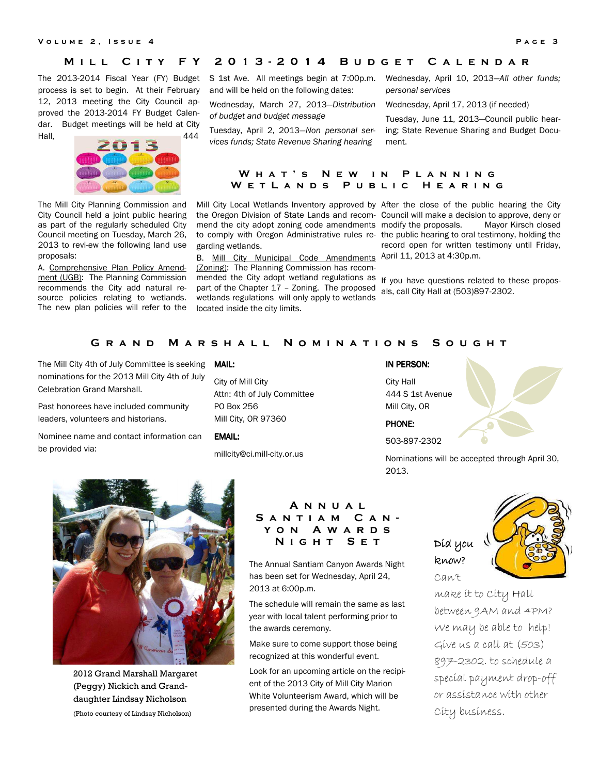# **M i l l C i t y F Y 2 0 1 3 - 2 0 1 4 B u d g e t C a l e n d a r**

The 2013-2014 Fiscal Year (FY) Budget process is set to begin. At their February 12, 2013 meeting the City Council approved the 2013-2014 FY Budget Calendar. Budget meetings will be held at City Hall, 444



The Mill City Planning Commission and City Council held a joint public hearing as part of the regularly scheduled City Council meeting on Tuesday, March 26, 2013 to revi-ew the following land use proposals:

A. Comprehensive Plan Policy Amendment (UGB): The Planning Commission recommends the City add natural resource policies relating to wetlands. The new plan policies will refer to the S 1st Ave. All meetings begin at 7:00p.m. and will be held on the following dates:

Wednesday, March 27, 2013—Distribution of budget and budget message

Tuesday, April 2, 2013—Non personal services funds; State Revenue Sharing hearing

Wednesday, April 10, 2013—All other funds; personal services

Wednesday, April 17, 2013 (if needed)

Tuesday, June 11, 2013—Council public hearing; State Revenue Sharing and Budget Document.

## **W h a t ' s N e w i n P l a n n i n g**  W E T L A N D S P U B L I C H E A R I N G

Mill City Local Wetlands Inventory approved by After the close of the public hearing the City the Oregon Division of State Lands and recom-Council will make a decision to approve, deny or mend the city adopt zoning code amendments modify the proposals. Mayor Kirsch closed to comply with Oregon Administrative rules re-the public hearing to oral testimony, holding the garding wetlands.

B. Mill City Municipal Code Amendments (Zoning): The Planning Commission has recommended the City adopt wetland regulations as part of the Chapter 17 – Zoning. The proposed wetlands regulations will only apply to wetlands located inside the city limits.

record open for written testimony until Friday, April 11, 2013 at 4:30p.m.

If you have questions related to these proposals, call City Hall at (503)897-2302.

# **G r a n d M a r s h a l l N o m i n a t i o n s S o u g h t**

The Mill City 4th of July Committee is seeking nominations for the 2013 Mill City 4th of July Celebration Grand Marshall.

Past honorees have included community leaders, volunteers and historians.

Nominee name and contact information can be provided via:

# MAIL:

City of Mill City Attn: 4th of July Committee PO Box 256 Mill City, OR 97360

#### EMAIL:

millcity@ci.mill-city.or.us

#### IN PERSON:

City Hall

503-897-2302

2013.



2012 Grand Marshall Margaret (Peggy) Nickich and Granddaughter Lindsay Nicholson (Photo courtesy of Lindsay Nicholson)

# **A n n u a l S a n t i a m C a n y o n A w a r d s N i g h t S e t**

The Annual Santiam Canyon Awards Night has been set for Wednesday, April 24, 2013 at 6:00p.m.

The schedule will remain the same as last year with local talent performing prior to the awards ceremony.

Make sure to come support those being recognized at this wonderful event.

Look for an upcoming article on the recipient of the 2013 City of Mill City Marion White Volunteerism Award, which will be presented during the Awards Night.



make it to City Hall between 9AM and 4PM? We may be able to help! Give us a call at (503) 897-2302. to schedule a special payment drop-off or assistance with other City business.

444 S 1st Avenue Mill City, OR

### PHONE:

Nominations will be accepted through April 30,